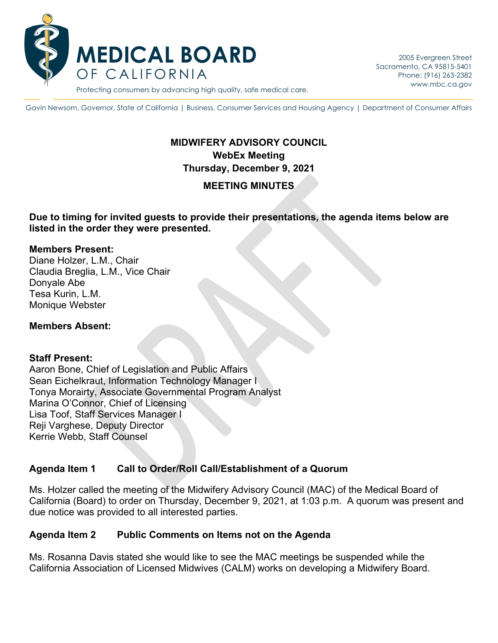

Gavin Newsom, Governor, State of California | Business, Consumer Services and Housing Agency | Department of Consumer Affairs

## **MIDWIFERY ADVISORY COUNCIL WebEx Meeting Thursday, December 9, 2021**

## **MEETING MINUTES**

**Due to timing for invited guests to provide their presentations, the agenda items below are listed in the order they were presented.**

#### **Members Present:**

Diane Holzer, L.M., Chair Claudia Breglia, L.M., Vice Chair Donyale Abe Tesa Kurin, L.M. Monique Webster

#### **Members Absent:**

#### **Staff Present:**

Aaron Bone, Chief of Legislation and Public Affairs Sean Eichelkraut, Information Technology Manager I Tonya Morairty, Associate Governmental Program Analyst Marina O'Connor, Chief of Licensing Lisa Toof, Staff Services Manager I Reji Varghese, Deputy Director Kerrie Webb, Staff Counsel

#### **Agenda Item 1 Call to Order/Roll Call/Establishment of a Quorum**

Ms. Holzer called the meeting of the Midwifery Advisory Council (MAC) of the Medical Board of California (Board) to order on Thursday, December 9, 2021, at 1:03 p.m. A quorum was present and due notice was provided to all interested parties.

#### **Agenda Item 2 Public Comments on Items not on the Agenda**

Ms. Rosanna Davis stated she would like to see the MAC meetings be suspended while the California Association of Licensed Midwives (CALM) works on developing a Midwifery Board.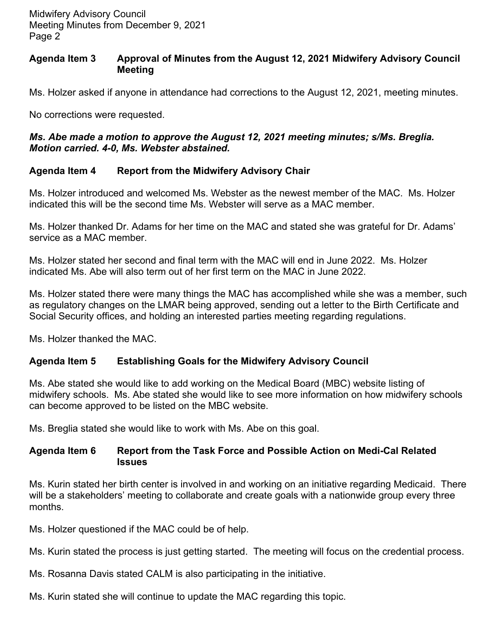#### **Agenda Item 3 Approval of Minutes from the August 12, 2021 Midwifery Advisory Council Meeting**

Ms. Holzer asked if anyone in attendance had corrections to the August 12, 2021, meeting minutes.

No corrections were requested.

### *Ms. Abe made a motion to approve the August 12, 2021 meeting minutes; s/Ms. Breglia. Motion carried. 4-0, Ms. Webster abstained.*

## **Agenda Item 4 Report from the Midwifery Advisory Chair**

Ms. Holzer introduced and welcomed Ms. Webster as the newest member of the MAC. Ms. Holzer indicated this will be the second time Ms. Webster will serve as a MAC member.

Ms. Holzer thanked Dr. Adams for her time on the MAC and stated she was grateful for Dr. Adams' service as a MAC member.

Ms. Holzer stated her second and final term with the MAC will end in June 2022. Ms. Holzer indicated Ms. Abe will also term out of her first term on the MAC in June 2022.

Ms. Holzer stated there were many things the MAC has accomplished while she was a member, such as regulatory changes on the LMAR being approved, sending out a letter to the Birth Certificate and Social Security offices, and holding an interested parties meeting regarding regulations.

Ms. Holzer thanked the MAC.

# **Agenda Item 5 Establishing Goals for the Midwifery Advisory Council**

Ms. Abe stated she would like to add working on the Medical Board (MBC) website listing of midwifery schools. Ms. Abe stated she would like to see more information on how midwifery schools can become approved to be listed on the MBC website.

Ms. Breglia stated she would like to work with Ms. Abe on this goal.

### **Agenda Item 6 Report from the Task Force and Possible Action on Medi-Cal Related Issues**

Ms. Kurin stated her birth center is involved in and working on an initiative regarding Medicaid. There will be a stakeholders' meeting to collaborate and create goals with a nationwide group every three months.

Ms. Holzer questioned if the MAC could be of help.

Ms. Kurin stated the process is just getting started. The meeting will focus on the credential process.

- Ms. Rosanna Davis stated CALM is also participating in the initiative.
- Ms. Kurin stated she will continue to update the MAC regarding this topic.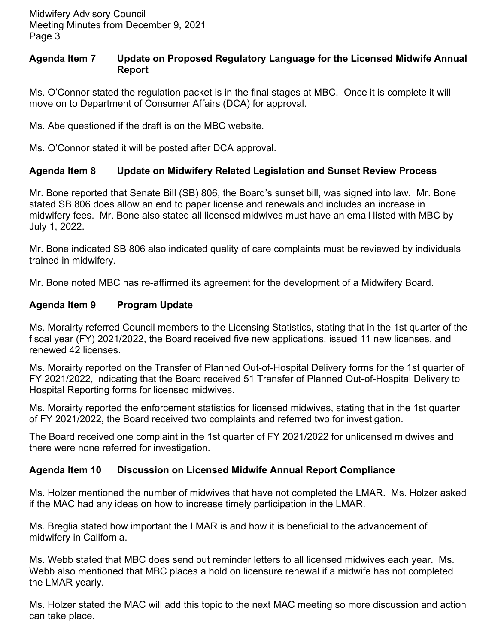### **Agenda Item 7 Update on Proposed Regulatory Language for the Licensed Midwife Annual Report**

Ms. O'Connor stated the regulation packet is in the final stages at MBC. Once it is complete it will move on to Department of Consumer Affairs (DCA) for approval.

Ms. Abe questioned if the draft is on the MBC website.

Ms. O'Connor stated it will be posted after DCA approval.

## **Agenda Item 8 Update on Midwifery Related Legislation and Sunset Review Process**

Mr. Bone reported that Senate Bill (SB) 806, the Board's sunset bill, was signed into law. Mr. Bone stated SB 806 does allow an end to paper license and renewals and includes an increase in midwifery fees. Mr. Bone also stated all licensed midwives must have an email listed with MBC by July 1, 2022.

Mr. Bone indicated SB 806 also indicated quality of care complaints must be reviewed by individuals trained in midwifery.

Mr. Bone noted MBC has re-affirmed its agreement for the development of a Midwifery Board.

## **Agenda Item 9 Program Update**

Ms. Morairty referred Council members to the Licensing Statistics, stating that in the 1st quarter of the fiscal year (FY) 2021/2022, the Board received five new applications, issued 11 new licenses, and renewed 42 licenses.

Ms. Morairty reported on the Transfer of Planned Out-of-Hospital Delivery forms for the 1st quarter of FY 2021/2022, indicating that the Board received 51 Transfer of Planned Out-of-Hospital Delivery to Hospital Reporting forms for licensed midwives.

Ms. Morairty reported the enforcement statistics for licensed midwives, stating that in the 1st quarter of FY 2021/2022, the Board received two complaints and referred two for investigation.

The Board received one complaint in the 1st quarter of FY 2021/2022 for unlicensed midwives and there were none referred for investigation.

## **Agenda Item 10 Discussion on Licensed Midwife Annual Report Compliance**

Ms. Holzer mentioned the number of midwives that have not completed the LMAR. Ms. Holzer asked if the MAC had any ideas on how to increase timely participation in the LMAR.

Ms. Breglia stated how important the LMAR is and how it is beneficial to the advancement of midwifery in California.

Ms. Webb stated that MBC does send out reminder letters to all licensed midwives each year. Ms. Webb also mentioned that MBC places a hold on licensure renewal if a midwife has not completed the LMAR yearly.

Ms. Holzer stated the MAC will add this topic to the next MAC meeting so more discussion and action can take place.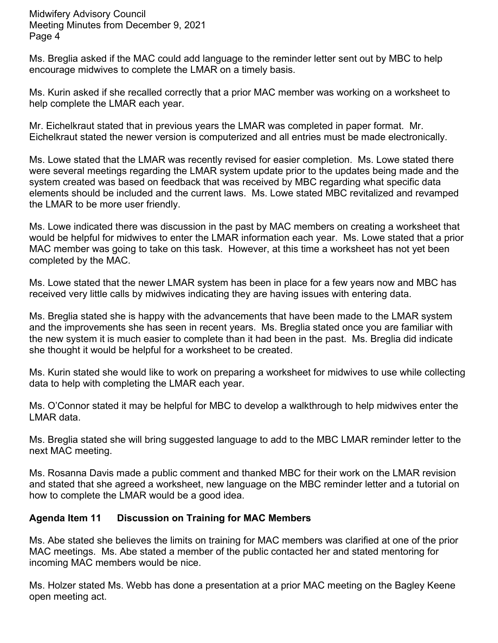Midwifery Advisory Council Meeting Minutes from December 9, 2021 Page 4

Ms. Breglia asked if the MAC could add language to the reminder letter sent out by MBC to help encourage midwives to complete the LMAR on a timely basis.

Ms. Kurin asked if she recalled correctly that a prior MAC member was working on a worksheet to help complete the LMAR each year.

Mr. Eichelkraut stated that in previous years the LMAR was completed in paper format. Mr. Eichelkraut stated the newer version is computerized and all entries must be made electronically.

Ms. Lowe stated that the LMAR was recently revised for easier completion. Ms. Lowe stated there were several meetings regarding the LMAR system update prior to the updates being made and the system created was based on feedback that was received by MBC regarding what specific data elements should be included and the current laws. Ms. Lowe stated MBC revitalized and revamped the LMAR to be more user friendly.

Ms. Lowe indicated there was discussion in the past by MAC members on creating a worksheet that would be helpful for midwives to enter the LMAR information each year. Ms. Lowe stated that a prior MAC member was going to take on this task. However, at this time a worksheet has not yet been completed by the MAC.

Ms. Lowe stated that the newer LMAR system has been in place for a few years now and MBC has received very little calls by midwives indicating they are having issues with entering data.

Ms. Breglia stated she is happy with the advancements that have been made to the LMAR system and the improvements she has seen in recent years. Ms. Breglia stated once you are familiar with the new system it is much easier to complete than it had been in the past. Ms. Breglia did indicate she thought it would be helpful for a worksheet to be created.

Ms. Kurin stated she would like to work on preparing a worksheet for midwives to use while collecting data to help with completing the LMAR each year.

Ms. O'Connor stated it may be helpful for MBC to develop a walkthrough to help midwives enter the LMAR data.

Ms. Breglia stated she will bring suggested language to add to the MBC LMAR reminder letter to the next MAC meeting.

Ms. Rosanna Davis made a public comment and thanked MBC for their work on the LMAR revision and stated that she agreed a worksheet, new language on the MBC reminder letter and a tutorial on how to complete the LMAR would be a good idea.

## **Agenda Item 11 Discussion on Training for MAC Members**

Ms. Abe stated she believes the limits on training for MAC members was clarified at one of the prior MAC meetings. Ms. Abe stated a member of the public contacted her and stated mentoring for incoming MAC members would be nice.

Ms. Holzer stated Ms. Webb has done a presentation at a prior MAC meeting on the Bagley Keene open meeting act.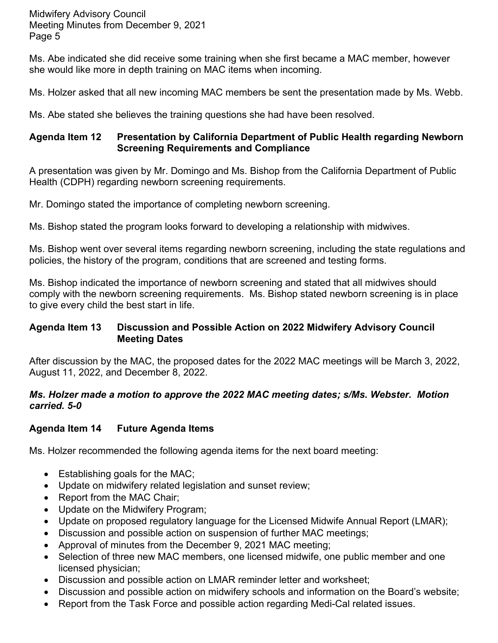Midwifery Advisory Council Meeting Minutes from December 9, 2021 Page 5

Ms. Abe indicated she did receive some training when she first became a MAC member, however she would like more in depth training on MAC items when incoming.

Ms. Holzer asked that all new incoming MAC members be sent the presentation made by Ms. Webb.

Ms. Abe stated she believes the training questions she had have been resolved.

### **Agenda Item 12 Presentation by California Department of Public Health regarding Newborn Screening Requirements and Compliance**

A presentation was given by Mr. Domingo and Ms. Bishop from the California Department of Public Health (CDPH) regarding newborn screening requirements.

Mr. Domingo stated the importance of completing newborn screening.

Ms. Bishop stated the program looks forward to developing a relationship with midwives.

Ms. Bishop went over several items regarding newborn screening, including the state regulations and policies, the history of the program, conditions that are screened and testing forms.

Ms. Bishop indicated the importance of newborn screening and stated that all midwives should comply with the newborn screening requirements. Ms. Bishop stated newborn screening is in place to give every child the best start in life.

## **Agenda Item 13 Discussion and Possible Action on 2022 Midwifery Advisory Council Meeting Dates**

After discussion by the MAC, the proposed dates for the 2022 MAC meetings will be March 3, 2022, August 11, 2022, and December 8, 2022.

### *Ms. Holzer made a motion to approve the 2022 MAC meeting dates; s/Ms. Webster. Motion carried. 5-0*

# **Agenda Item 14 Future Agenda Items**

Ms. Holzer recommended the following agenda items for the next board meeting:

- Establishing goals for the MAC;
- Update on midwifery related legislation and sunset review;
- Report from the MAC Chair;
- Update on the Midwifery Program;
- Update on proposed regulatory language for the Licensed Midwife Annual Report (LMAR);
- Discussion and possible action on suspension of further MAC meetings;
- Approval of minutes from the December 9, 2021 MAC meeting;
- Selection of three new MAC members, one licensed midwife, one public member and one licensed physician;
- Discussion and possible action on LMAR reminder letter and worksheet;
- Discussion and possible action on midwifery schools and information on the Board's website;
- Report from the Task Force and possible action regarding Medi-Cal related issues.